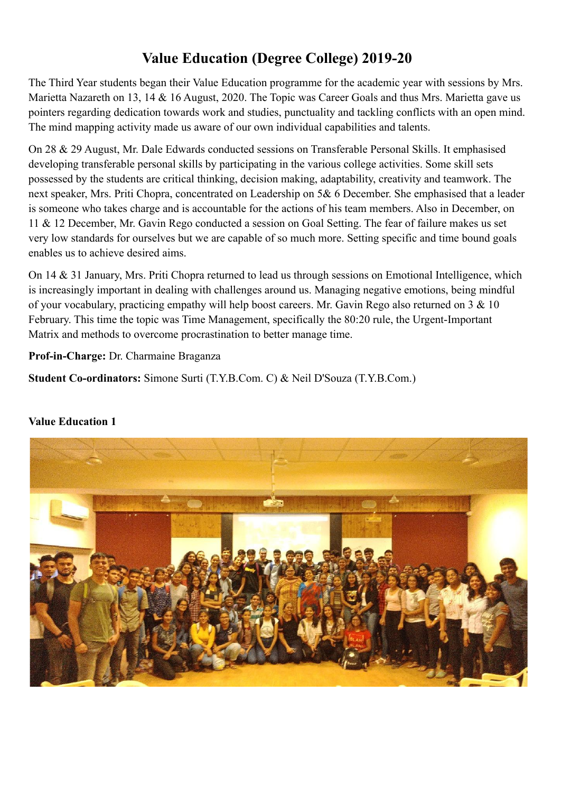# **Value Education (Degree College) 2019-20**

The Third Year students began their Value Education programme for the academic year with sessions by Mrs. Marietta Nazareth on 13, 14 & 16 August, 2020. The Topic was Career Goals and thus Mrs. Marietta gave us pointers regarding dedication towards work and studies, punctuality and tackling conflicts with an open mind. The mind mapping activity made us aware of our own individual capabilities and talents.

On 28 & 29 August, Mr. Dale Edwards conducted sessions on Transferable Personal Skills. It emphasised developing transferable personal skills by participating in the various college activities. Some skill sets possessed by the students are critical thinking, decision making, adaptability, creativity and teamwork. The next speaker, Mrs. Priti Chopra, concentrated on Leadership on 5& 6 December. She emphasised that a leader is someone who takes charge and is accountable for the actions of his team members. Also in December, on 11 & 12 December, Mr. Gavin Rego conducted a session on Goal Setting. The fear of failure makes us set very low standards for ourselves but we are capable of so much more. Setting specific and time bound goals enables us to achieve desired aims.

On 14 & 31 January, Mrs. Priti Chopra returned to lead us through sessions on Emotional Intelligence, which is increasingly important in dealing with challenges around us. Managing negative emotions, being mindful of your vocabulary, practicing empathy will help boost careers. Mr. Gavin Rego also returned on 3 & 10 February. This time the topic was Time Management, specifically the 80:20 rule, the Urgent-Important Matrix and methods to overcome procrastination to better manage time.

**Prof-in-Charge:** Dr. Charmaine Braganza

**Student Co-ordinators:** Simone Surti (T.Y.B.Com. C) & Neil D'Souza (T.Y.B.Com.)

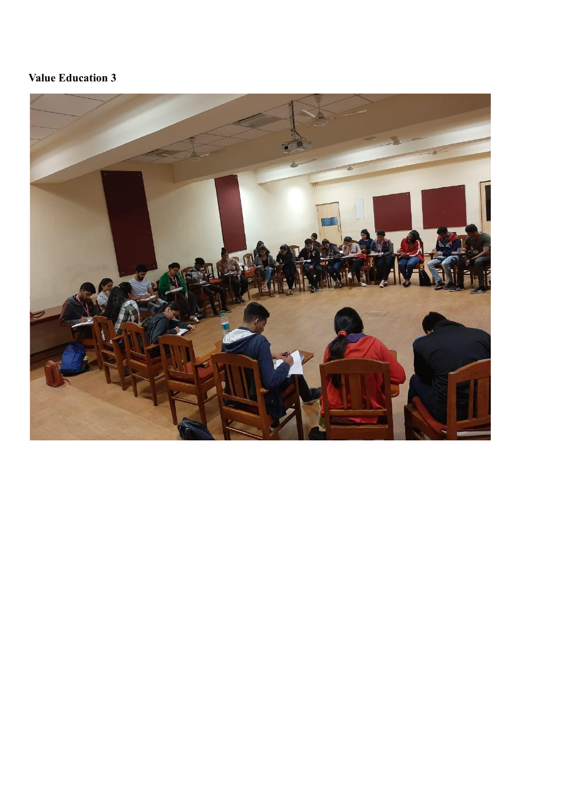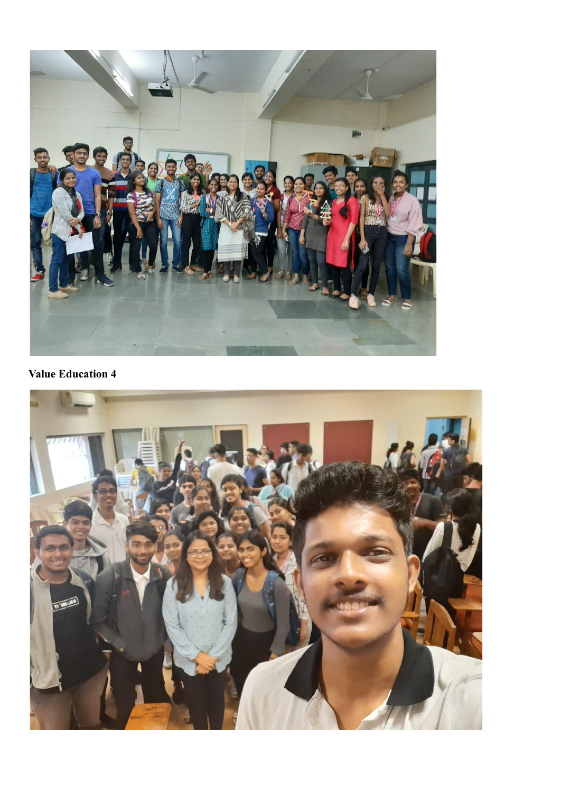

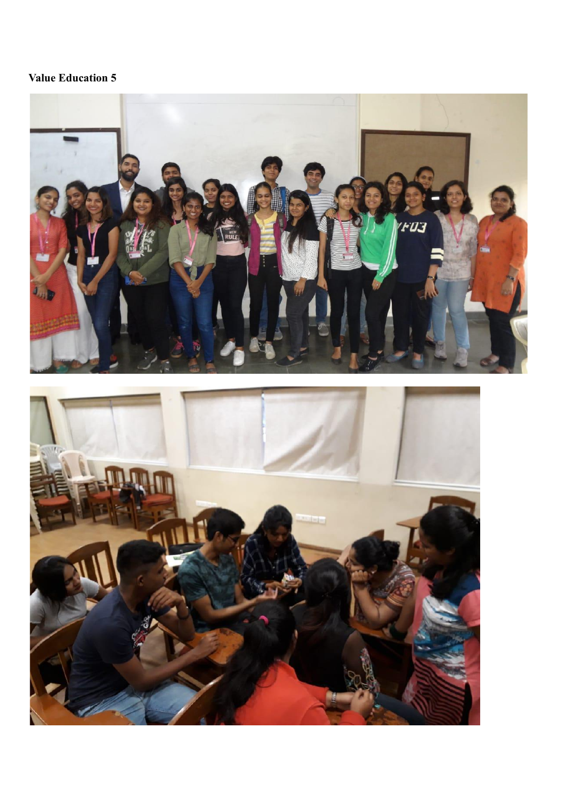